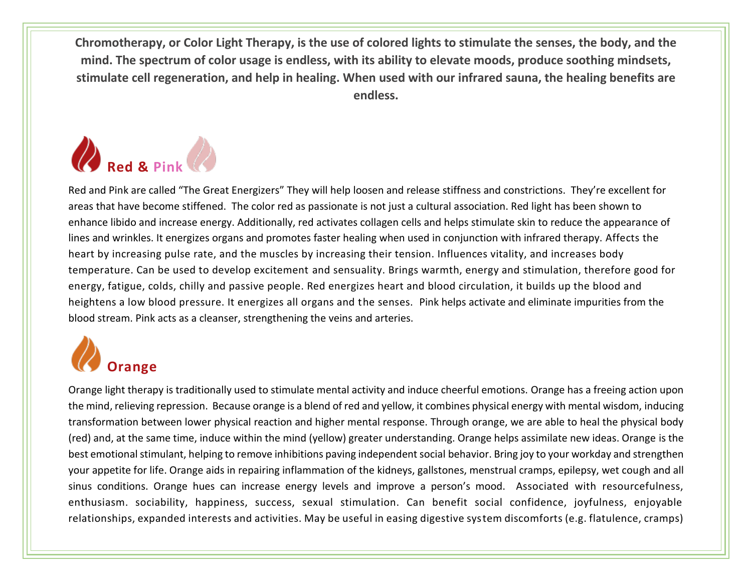**Chromotherapy, or Color Light Therapy, is the use of colored lights to stimulate the senses, the body, and the mind. The spectrum of color usage is endless, with its ability to elevate moods, produce soothing mindsets, stimulate cell regeneration, and help in healing. When used with our infrared sauna, the healing benefits are endless.**



Red and Pink are called "The Great Energizers" They will help loosen and release stiffness and constrictions. They're excellent for areas that have become stiffened. The color red as passionate is not just a cultural association. Red light has been shown to enhance libido and increase energy. Additionally, red activates collagen cells and helps stimulate skin to reduce the appearance of lines and wrinkles. It energizes organs and promotes faster healing when used in conjunction with infrared therapy. Affects the heart by increasing pulse rate, and the muscles by increasing their tension. Influences vitality, and increases body temperature. Can be used to develop excitement and sensuality. Brings warmth, energy and stimulation, therefore good for energy, fatigue, colds, chilly and passive people. Red energizes heart and blood circulation, it builds up the blood and heightens a low blood pressure. It energizes all organs and the senses. Pink helps activate and eliminate impurities from the blood stream. Pink acts as a cleanser, strengthening the veins and arteries.

## **Orange**

Orange light therapy is traditionally used to stimulate mental activity and induce cheerful emotions. Orange has a freeing action upon the mind, relieving repression. Because orange is a blend of red and yellow, it combines physical energy with mental wisdom, inducing transformation between lower physical reaction and higher mental response. Through orange, we are able to heal the physical body (red) and, at the same time, induce within the mind (yellow) greater understanding. Orange helps assimilate new ideas. Orange is the best emotional stimulant, helping to remove inhibitions paving independent social behavior. Bring joy to your workday and strengthen your appetite for life. Orange aids in repairing inflammation of the kidneys, gallstones, menstrual cramps, epilepsy, wet cough and all sinus conditions. Orange hues can increase energy levels and improve a person's mood. Associated with resourcefulness, enthusiasm. sociability, happiness, success, sexual stimulation. Can benefit social confidence, joyfulness, enjoyable relationships, expanded interests and activities. May be useful in easing digestive system discomforts (e.g. flatulence, cramps)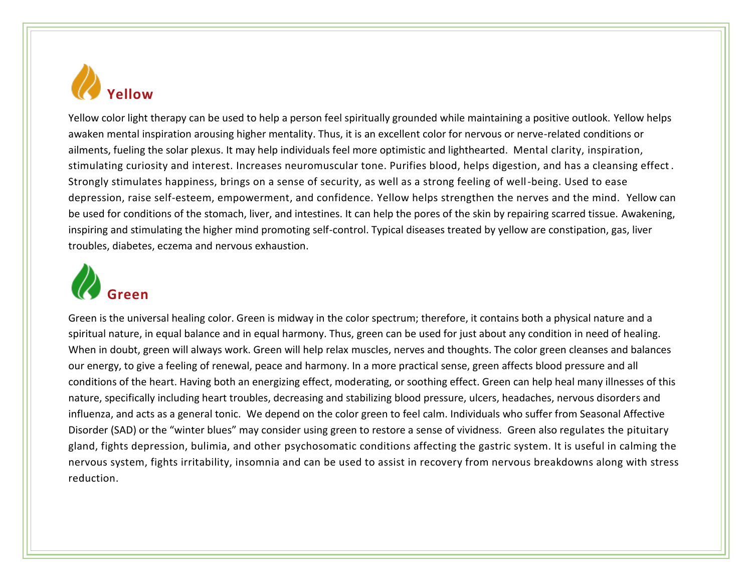

Yellow color light therapy can be used to help a person feel spiritually grounded while maintaining a positive outlook. Yellow helps awaken mental inspiration arousing higher mentality. Thus, it is an excellent color for nervous or nerve-related conditions or ailments, fueling the solar plexus. It may help individuals feel more optimistic and lighthearted. Mental clarity, inspiration, stimulating curiosity and interest. Increases neuromuscular tone. Purifies blood, helps digestion, and has a cleansing effect . Strongly stimulates happiness, brings on a sense of security, as well as a strong feeling of well-being. Used to ease depression, raise self-esteem, empowerment, and confidence. Yellow helps strengthen the nerves and the mind. Yellow can be used for conditions of the stomach, liver, and intestines. It can help the pores of the skin by repairing scarred tissue. Awakening, inspiring and stimulating the higher mind promoting self-control. Typical diseases treated by yellow are constipation, gas, liver troubles, diabetes, eczema and nervous exhaustion.



Green is the universal healing color. Green is midway in the color spectrum; therefore, it contains both a physical nature and a spiritual nature, in equal balance and in equal harmony. Thus, green can be used for just about any condition in need of healing. When in doubt, green will always work. Green will help relax muscles, nerves and thoughts. The color green cleanses and balances our energy, to give a feeling of renewal, peace and harmony. In a more practical sense, green affects blood pressure and all conditions of the heart. Having both an energizing effect, moderating, or soothing effect. Green can help heal many illnesses of this nature, specifically including heart troubles, decreasing and stabilizing blood pressure, ulcers, headaches, nervous disorders and influenza, and acts as a general tonic. We depend on the color green to feel calm. Individuals who suffer from Seasonal Affective Disorder (SAD) or the "winter blues" may consider using green to restore a sense of vividness. Green also regulates the pituitary gland, fights depression, bulimia, and other psychosomatic conditions affecting the gastric system. It is useful in calming the nervous system, fights irritability, insomnia and can be used to assist in recovery from nervous breakdowns along with stress reduction.